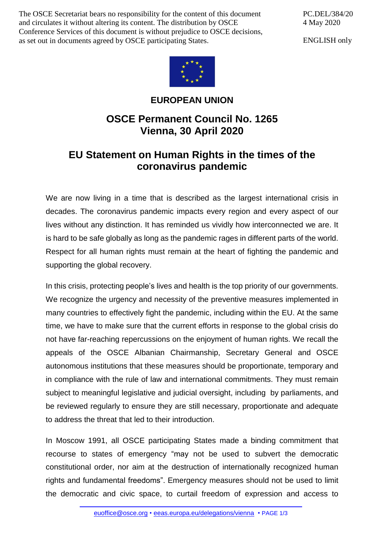The OSCE Secretariat bears no responsibility for the content of this document and circulates it without altering its content. The distribution by OSCE Conference Services of this document is without prejudice to OSCE decisions, as set out in documents agreed by OSCE participating States.

PC.DEL/384/20 4 May 2020

ENGLISH only



## **EUROPEAN UNION**

## **OSCE Permanent Council No. 1265 Vienna, 30 April 2020**

## **EU Statement on Human Rights in the times of the coronavirus pandemic**

We are now living in a time that is described as the largest international crisis in decades. The coronavirus pandemic impacts every region and every aspect of our lives without any distinction. It has reminded us vividly how interconnected we are. It is hard to be safe globally as long as the pandemic rages in different parts of the world. Respect for all human rights must remain at the heart of fighting the pandemic and supporting the global recovery.

In this crisis, protecting people's lives and health is the top priority of our governments. We recognize the urgency and necessity of the preventive measures implemented in many countries to effectively fight the pandemic, including within the EU. At the same time, we have to make sure that the current efforts in response to the global crisis do not have far-reaching repercussions on the enjoyment of human rights. We recall the appeals of the OSCE Albanian Chairmanship, Secretary General and OSCE autonomous institutions that these measures should be proportionate, temporary and in compliance with the rule of law and international commitments. They must remain subject to meaningful legislative and judicial oversight, including by parliaments, and be reviewed regularly to ensure they are still necessary, proportionate and adequate to address the threat that led to their introduction.

In Moscow 1991, all OSCE participating States made a binding commitment that recourse to states of emergency "may not be used to subvert the democratic constitutional order, nor aim at the destruction of internationally recognized human rights and fundamental freedoms". Emergency measures should not be used to limit the democratic and civic space, to curtail freedom of expression and access to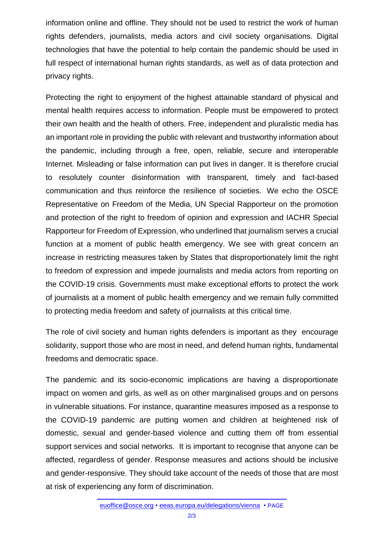information online and offline. They should not be used to restrict the work of human rights defenders, journalists, media actors and civil society organisations. Digital technologies that have the potential to help contain the pandemic should be used in full respect of international human rights standards, as well as of data protection and privacy rights.

Protecting the right to enjoyment of the highest attainable standard of physical and mental health requires access to information. People must be empowered to protect their own health and the health of others. Free, independent and pluralistic media has an important role in providing the public with relevant and trustworthy information about the pandemic, including through a free, open, reliable, secure and interoperable Internet. Misleading or false information can put lives in danger. It is therefore crucial to resolutely counter disinformation with transparent, timely and fact-based communication and thus reinforce the resilience of societies. We echo the OSCE Representative on Freedom of the Media, UN Special Rapporteur on the promotion and protection of the right to freedom of opinion and expression and IACHR Special Rapporteur for Freedom of Expression, who underlined that journalism serves a crucial function at a moment of public health emergency. We see with great concern an increase in restricting measures taken by States that disproportionately limit the right to freedom of expression and impede journalists and media actors from reporting on the COVID-19 crisis. Governments must make exceptional efforts to protect the work of journalists at a moment of public health emergency and we remain fully committed to protecting media freedom and safety of journalists at this critical time.

The role of civil society and human rights defenders is important as they encourage solidarity, support those who are most in need, and defend human rights, fundamental freedoms and democratic space.

The pandemic and its socio-economic implications are having a disproportionate impact on women and girls, as well as on other marginalised groups and on persons in vulnerable situations. For instance, quarantine measures imposed as a response to the COVID-19 pandemic are putting women and children at heightened risk of domestic, sexual and gender-based violence and cutting them off from essential support services and social networks. It is important to recognise that anyone can be affected, regardless of gender. Response measures and actions should be inclusive and gender-responsive. They should take account of the needs of those that are most at risk of experiencing any form of discrimination.